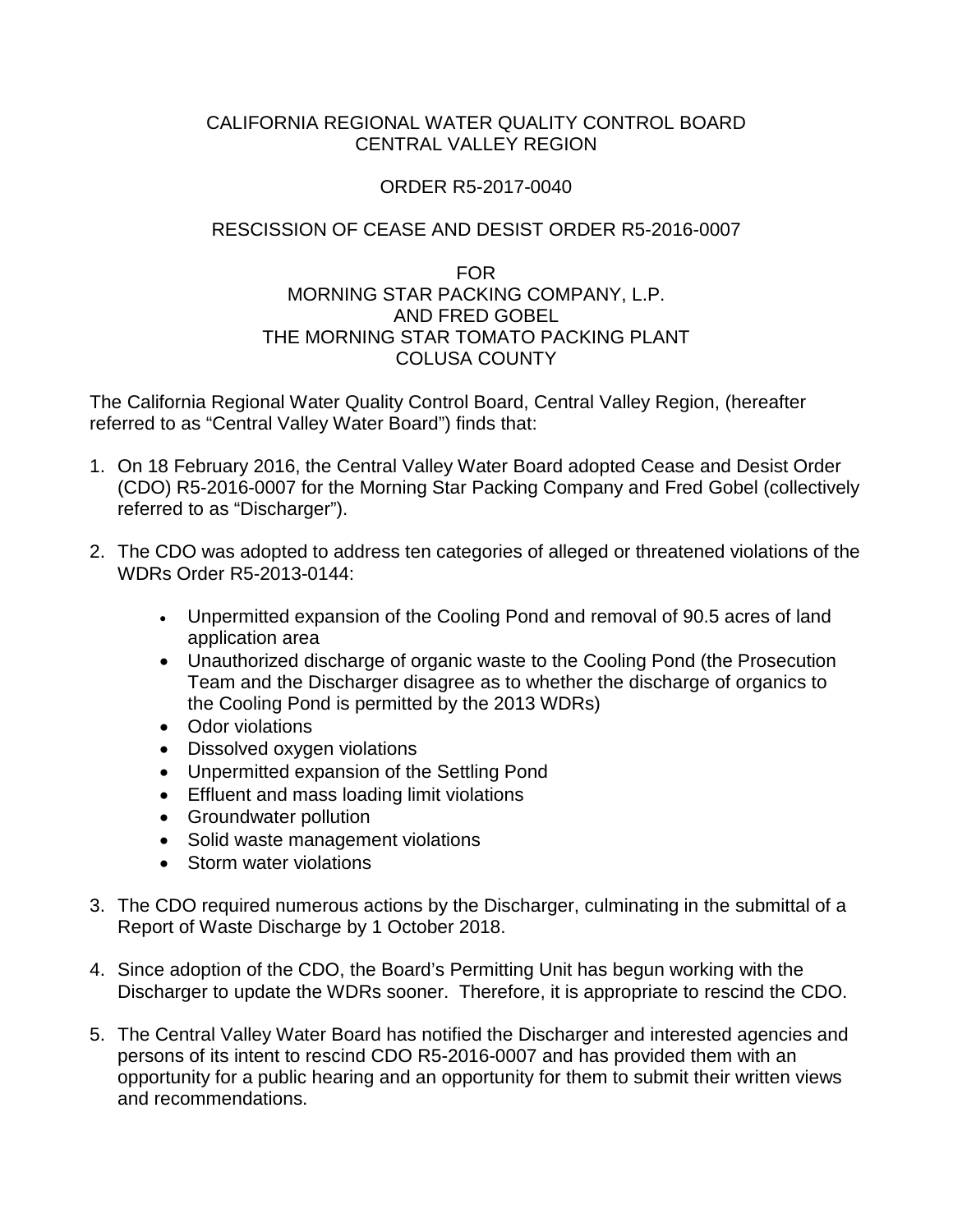## CALIFORNIA REGIONAL WATER QUALITY CONTROL BOARD CENTRAL VALLEY REGION

## ORDER R5-2017-0040

## RESCISSION OF CEASE AND DESIST ORDER R5-2016-0007

## FOR MORNING STAR PACKING COMPANY, L.P. AND FRED GOBEL THE MORNING STAR TOMATO PACKING PLANT COLUSA COUNTY

The California Regional Water Quality Control Board, Central Valley Region, (hereafter referred to as "Central Valley Water Board") finds that:

- 1. On 18 February 2016, the Central Valley Water Board adopted Cease and Desist Order (CDO) R5-2016-0007 for the Morning Star Packing Company and Fred Gobel (collectively referred to as "Discharger").
- 2. The CDO was adopted to address ten categories of alleged or threatened violations of the WDRs Order R5-2013-0144:
	- Unpermitted expansion of the Cooling Pond and removal of 90.5 acres of land application area
	- Unauthorized discharge of organic waste to the Cooling Pond (the Prosecution Team and the Discharger disagree as to whether the discharge of organics to the Cooling Pond is permitted by the 2013 WDRs)
	- Odor violations
	- Dissolved oxygen violations
	- Unpermitted expansion of the Settling Pond
	- Effluent and mass loading limit violations
	- Groundwater pollution
	- Solid waste management violations
	- Storm water violations
- 3. The CDO required numerous actions by the Discharger, culminating in the submittal of a Report of Waste Discharge by 1 October 2018.
- 4. Since adoption of the CDO, the Board's Permitting Unit has begun working with the Discharger to update the WDRs sooner. Therefore, it is appropriate to rescind the CDO.
- 5. The Central Valley Water Board has notified the Discharger and interested agencies and persons of its intent to rescind CDO R5-2016-0007 and has provided them with an opportunity for a public hearing and an opportunity for them to submit their written views and recommendations.